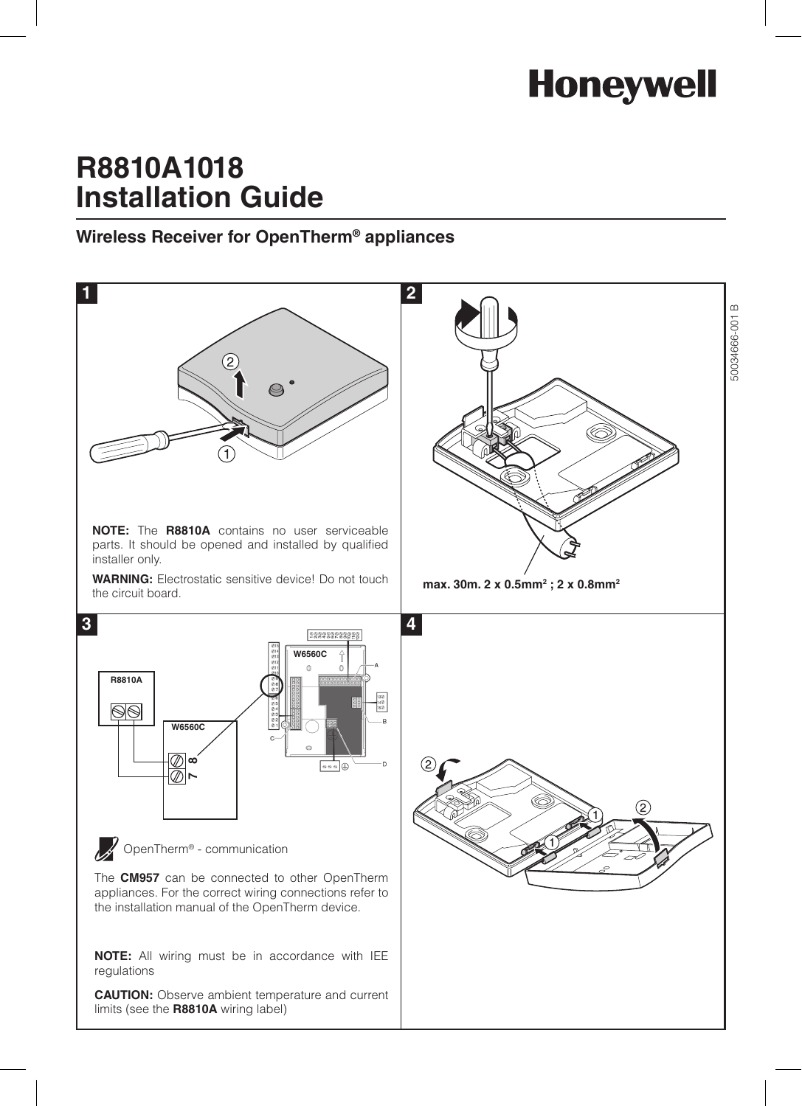# **Honeywell**

## **R8810A1018 Installation Guide**

### **Wireless Receiver for OpenTherm® appliances**